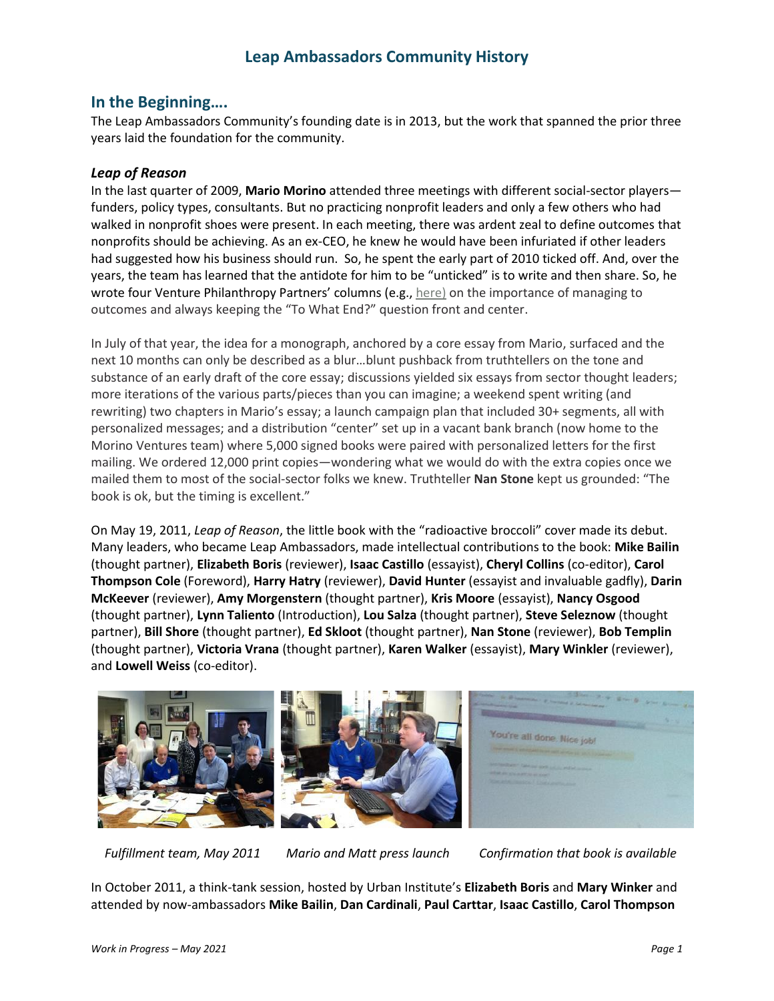### **In the Beginning….**

The Leap Ambassadors Community's founding date is in 2013, but the work that spanned the prior three years laid the foundation for the community.

#### *Leap of Reason*

In the last quarter of 2009, **Mario Morino** attended three meetings with different social-sector players funders, policy types, consultants. But no practicing nonprofit leaders and only a few others who had walked in nonprofit shoes were present. In each meeting, there was ardent zeal to define outcomes that nonprofits should be achieving. As an ex-CEO, he knew he would have been infuriated if other leaders had suggested how his business should run. So, he spent the early part of 2010 ticked off. And, over the years, the team has learned that the antidote for him to be "unticked" is to write and then share. So, he wrote four Venture Philanthropy Partners' columns (e.g., [here\)](http://www.vppartners.org/blog-post/chairmans-corner-january-2010/) on the importance of managing to outcomes and always keeping the "To What End?" question front and center.

In July of that year, the idea for a monograph, anchored by a core essay from Mario, surfaced and the next 10 months can only be described as a blur…blunt pushback from truthtellers on the tone and substance of an early draft of the core essay; discussions yielded six essays from sector thought leaders; more iterations of the various parts/pieces than you can imagine; a weekend spent writing (and rewriting) two chapters in Mario's essay; a launch campaign plan that included 30+ segments, all with personalized messages; and a distribution "center" set up in a vacant bank branch (now home to the Morino Ventures team) where 5,000 signed books were paired with personalized letters for the first mailing. We ordered 12,000 print copies—wondering what we would do with the extra copies once we mailed them to most of the social-sector folks we knew. Truthteller **Nan Stone** kept us grounded: "The book is ok, but the timing is excellent."

On May 19, 2011, *Leap of Reason*, the little book with the "radioactive broccoli" cover made its debut. Many leaders, who became Leap Ambassadors, made intellectual contributions to the book: **Mike Bailin** (thought partner), **Elizabeth Boris** (reviewer), **Isaac Castillo** (essayist), **Cheryl Collins** (co-editor), **Carol Thompson Cole** (Foreword), **Harry Hatry** (reviewer), **David Hunter** (essayist and invaluable gadfly), **Darin McKeever** (reviewer), **Amy Morgenstern** (thought partner), **Kris Moore** (essayist), **Nancy Osgood** (thought partner), **Lynn Taliento** (Introduction), **Lou Salza** (thought partner), **Steve Seleznow** (thought partner), **Bill Shore** (thought partner), **Ed Skloot** (thought partner), **Nan Stone** (reviewer), **Bob Templin** (thought partner), **Victoria Vrana** (thought partner), **Karen Walker** (essayist), **Mary Winkler** (reviewer), and **Lowell Weiss** (co-editor).



*Fulfillment team, May 2011 Mario and Matt press launch Confirmation that book is available*

In October 2011, a think-tank session, hosted by Urban Institute's **Elizabeth Boris** and **Mary Winker** and attended by now-ambassadors **Mike Bailin**, **Dan Cardinali**, **Paul Carttar**, **Isaac Castillo**, **Carol Thompson**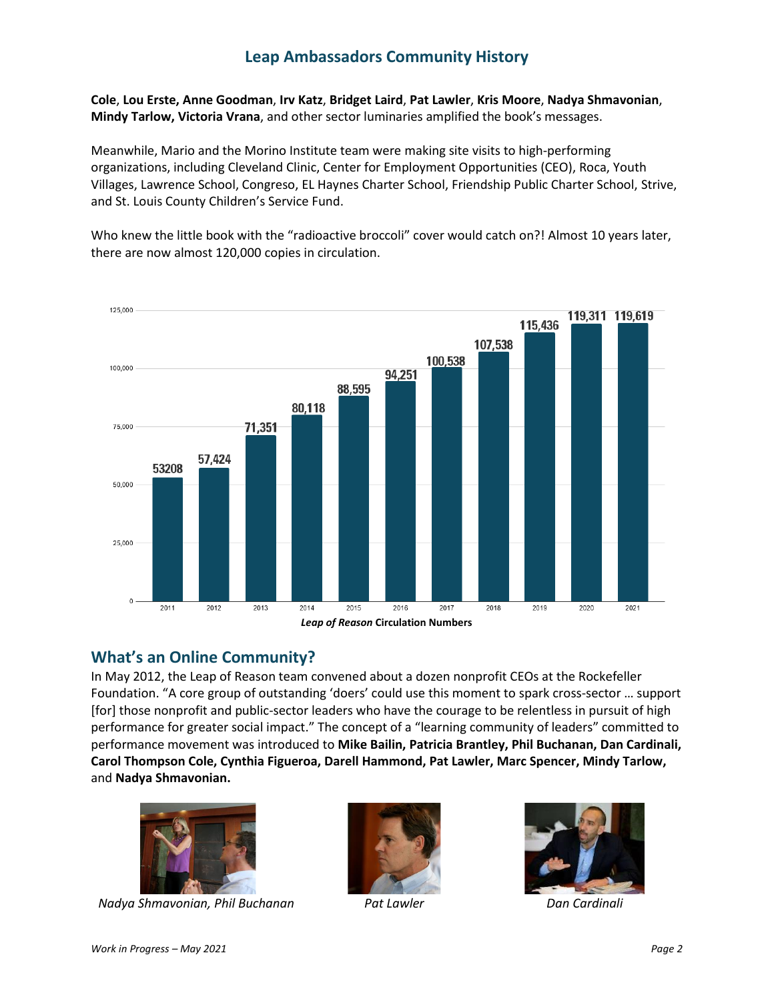**Cole**, **Lou Erste, Anne Goodman**, **Irv Katz**, **Bridget Laird**, **Pat Lawler**, **Kris Moore**, **Nadya Shmavonian**, **Mindy Tarlow, Victoria Vrana**, and other sector luminaries amplified the book's messages.

Meanwhile, Mario and the Morino Institute team were making site visits to high-performing organizations, including Cleveland Clinic, Center for Employment Opportunities (CEO), Roca, Youth Villages, Lawrence School, Congreso, EL Haynes Charter School, Friendship Public Charter School, Strive, and St. Louis County Children's Service Fund.

Who knew the little book with the "radioactive broccoli" cover would catch on?! Almost 10 years later, there are now almost 120,000 copies in circulation.



## **What's an Online Community?**

In May 2012, the Leap of Reason team convened about a dozen nonprofit CEOs at the Rockefeller Foundation. "A core group of outstanding 'doers' could use this moment to spark cross-sector … support [for] those nonprofit and public-sector leaders who have the courage to be relentless in pursuit of high performance for greater social impact." The concept of a "learning community of leaders" committed to performance movement was introduced to **Mike Bailin, Patricia Brantley, Phil Buchanan, Dan Cardinali, Carol Thompson Cole, Cynthia Figueroa, Darell Hammond, Pat Lawler, Marc Spencer, Mindy Tarlow,**  and **Nadya Shmavonian.** 



*Nadya Shmavonian, Phil Buchanan Pat Lawler Dan Cardinali*



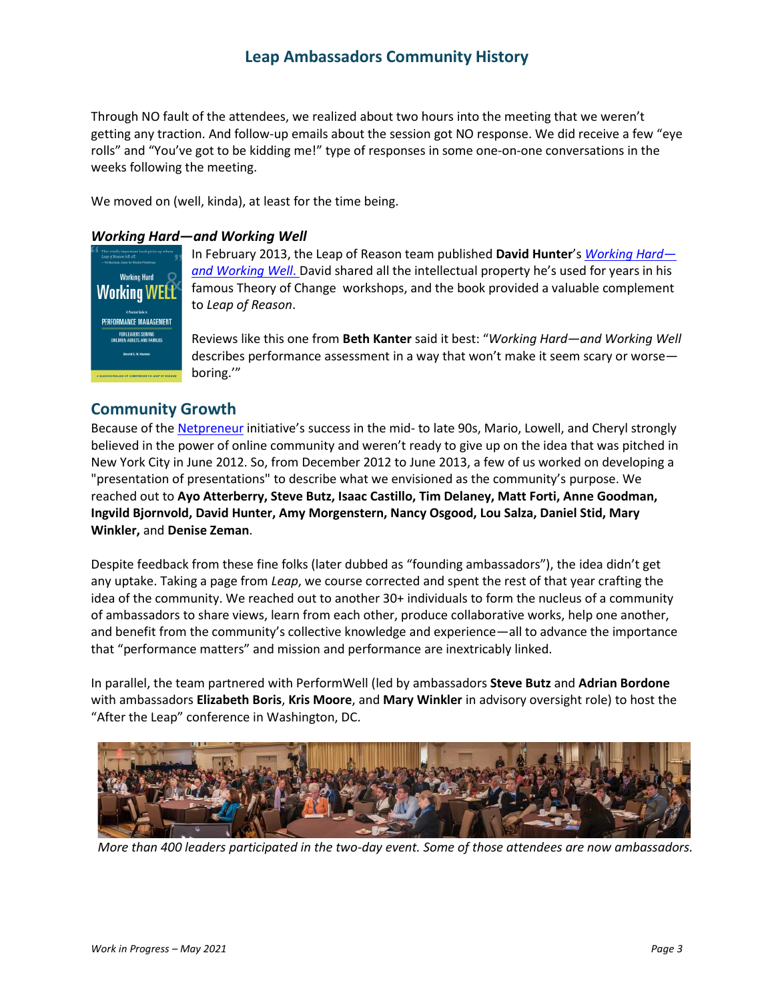Through NO fault of the attendees, we realized about two hours into the meeting that we weren't getting any traction. And follow-up emails about the session got NO response. We did receive a few "eye rolls" and "You've got to be kidding me!" type of responses in some one-on-one conversations in the weeks following the meeting.

We moved on (well, kinda), at least for the time being.

#### *Working Hard—and Working Well*



In February 2013, the Leap of Reason team published **David Hunter**'s *[Working Hard](http://leapofreason.org/get-the-books/working-hard-and-working-well/) [and Working Well](http://leapofreason.org/get-the-books/working-hard-and-working-well/)*. David shared all the intellectual property he's used for years in his famous Theory of Change workshops, and the book provided a valuable complement to *Leap of Reason*.

Reviews like this one from **Beth Kanter** said it best: "*Working Hard—and Working Well* describes performance assessment in a way that won't make it seem scary or worse boring.'"

### **Community Growth**

Because of th[e Netpreneur](http://netpreneur.org/) initiative's success in the mid- to late 90s, Mario, Lowell, and Cheryl strongly believed in the power of online community and weren't ready to give up on the idea that was pitched in New York City in June 2012. So, from December 2012 to June 2013, a few of us worked on developing a "presentation of presentations" to describe what we envisioned as the community's purpose. We reached out to **Ayo Atterberry, Steve Butz, Isaac Castillo, Tim Delaney, Matt Forti, Anne Goodman, Ingvild Bjornvold, David Hunter, Amy Morgenstern, Nancy Osgood, Lou Salza, Daniel Stid, Mary Winkler,** and **Denise Zeman**.

Despite feedback from these fine folks (later dubbed as "founding ambassadors"), the idea didn't get any uptake. Taking a page from *Leap*, we course corrected and spent the rest of that year crafting the idea of the community. We reached out to another 30+ individuals to form the nucleus of a community of ambassadors to share views, learn from each other, produce collaborative works, help one another, and benefit from the community's collective knowledge and experience—all to advance the importance that "performance matters" and mission and performance are inextricably linked.

In parallel, the team partnered with PerformWell (led by ambassadors **Steve Butz** and **Adrian Bordone** with ambassadors **Elizabeth Boris**, **Kris Moore**, and **Mary Winkler** in advisory oversight role) to host the "After the Leap" conference in Washington, DC.



*More than 400 leaders participated in the two-day event. Some of those attendees are now ambassadors.*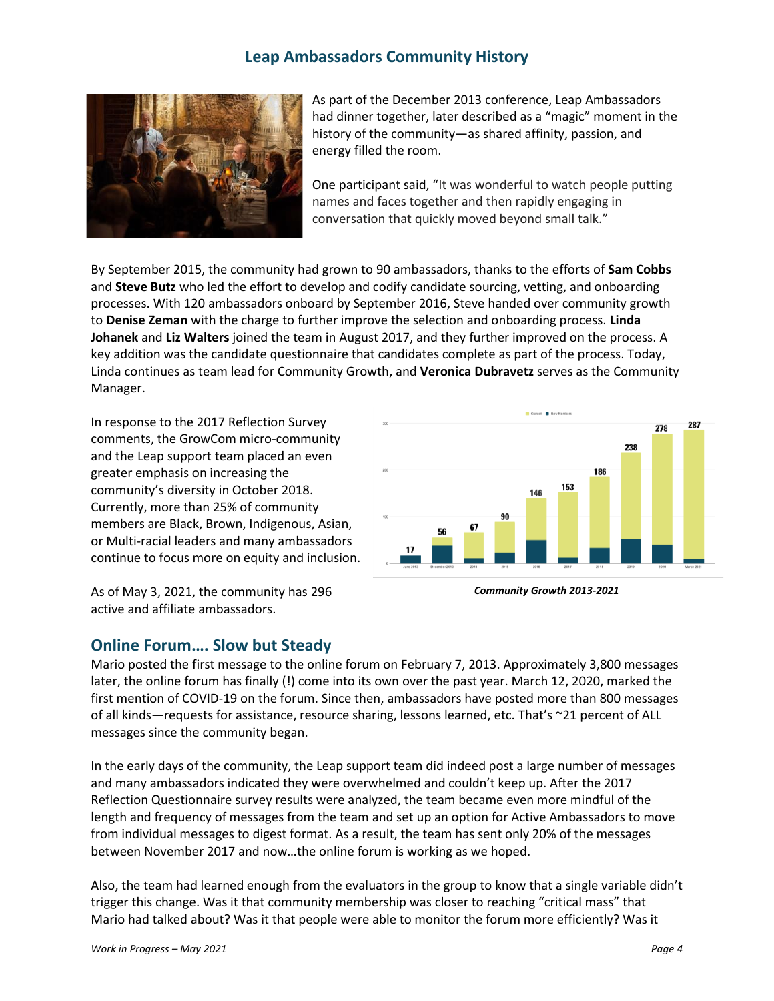

As part of the December 2013 conference, Leap Ambassadors had dinner together, later described as a "magic" moment in the history of the community—as shared affinity, passion, and energy filled the room.

One participant said, "It was wonderful to watch people putting names and faces together and then rapidly engaging in conversation that quickly moved beyond small talk."

By September 2015, the community had grown to 90 ambassadors, thanks to the efforts of **Sam Cobbs** and **Steve Butz** who led the effort to develop and codify candidate sourcing, vetting, and onboarding processes. With 120 ambassadors onboard by September 2016, Steve handed over community growth to **Denise Zeman** with the charge to further improve the selection and onboarding process. **Linda Johanek** and **Liz Walters** joined the team in August 2017, and they further improved on the process. A key addition was the candidate questionnaire that candidates complete as part of the process. Today, Linda continues as team lead for Community Growth, and **Veronica Dubravetz** serves as the Community Manager.

In response to the 2017 Reflection Survey comments, the GrowCom micro-community and the Leap support team placed an even greater emphasis on increasing the community's diversity in October 2018. Currently, more than 25% of community members are Black, Brown, Indigenous, Asian, or Multi-racial leaders and many ambassadors continue to focus more on equity and inclusion.

As of May 3, 2021, the community has 296 active and affiliate ambassadors.

### **Online Forum…. Slow but Steady**

287 278 238 186 153 146



Mario posted the first message to the online forum on February 7, 2013. Approximately 3,800 messages later, the online forum has finally (!) come into its own over the past year. March 12, 2020, marked the first mention of COVID-19 on the forum. Since then, ambassadors have posted more than 800 messages of all kinds—requests for assistance, resource sharing, lessons learned, etc. That's ~21 percent of ALL messages since the community began.

In the early days of the community, the Leap support team did indeed post a large number of messages and many ambassadors indicated they were overwhelmed and couldn't keep up. After the 2017 Reflection Questionnaire survey results were analyzed, the team became even more mindful of the length and frequency of messages from the team and set up an option for Active Ambassadors to move from individual messages to digest format. As a result, the team has sent only 20% of the messages between November 2017 and now…the online forum is working as we hoped.

Also, the team had learned enough from the evaluators in the group to know that a single variable didn't trigger this change. Was it that community membership was closer to reaching "critical mass" that Mario had talked about? Was it that people were able to monitor the forum more efficiently? Was it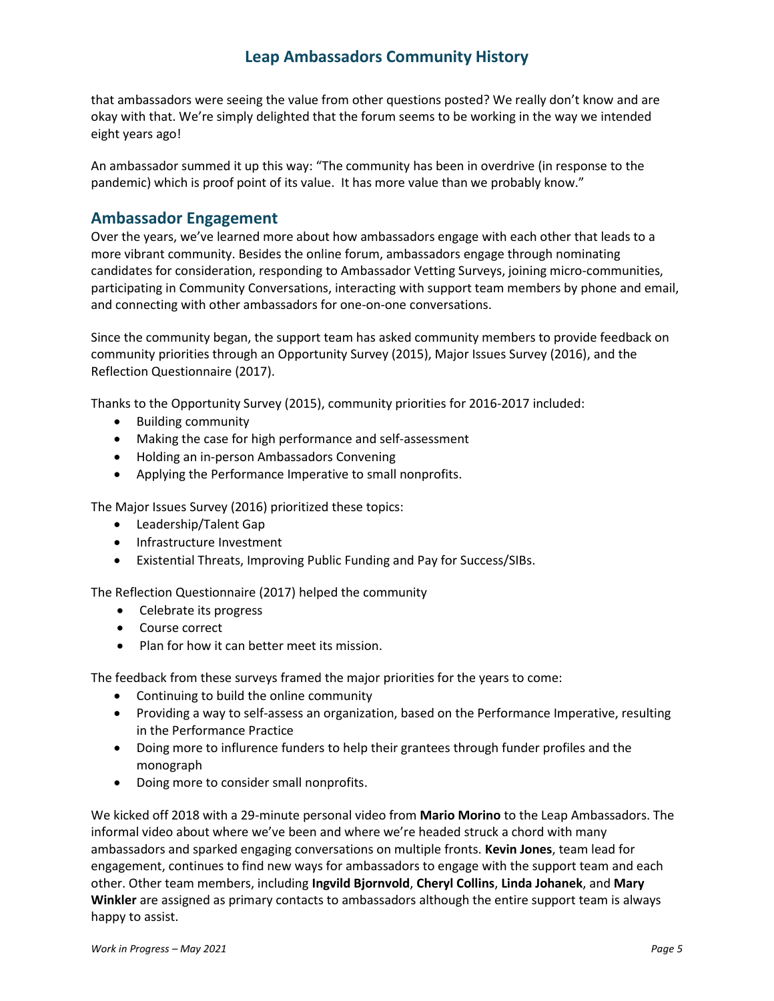that ambassadors were seeing the value from other questions posted? We really don't know and are okay with that. We're simply delighted that the forum seems to be working in the way we intended eight years ago!

An ambassador summed it up this way: "The community has been in overdrive (in response to the pandemic) which is proof point of its value. It has more value than we probably know."

### **Ambassador Engagement**

Over the years, we've learned more about how ambassadors engage with each other that leads to a more vibrant community. Besides the online forum, ambassadors engage through nominating candidates for consideration, responding to Ambassador Vetting Surveys, joining micro-communities, participating in Community Conversations, interacting with support team members by phone and email, and connecting with other ambassadors for one-on-one conversations.

Since the community began, the support team has asked community members to provide feedback on community priorities through an Opportunity Survey (2015), Major Issues Survey (2016), and the Reflection Questionnaire (2017).

Thanks to the Opportunity Survey (2015), community priorities for 2016-2017 included:

- Building community
- Making the case for high performance and self-assessment
- Holding an in-person Ambassadors Convening
- Applying the Performance Imperative to small nonprofits.

The Major Issues Survey (2016) prioritized these topics:

- Leadership/Talent Gap
- Infrastructure Investment
- Existential Threats, Improving Public Funding and Pay for Success/SIBs.

The Reflection Questionnaire (2017) helped the community

- Celebrate its progress
- Course correct
- Plan for how it can better meet its mission.

The feedback from these surveys framed the major priorities for the years to come:

- Continuing to build the online community
- Providing a way to self-assess an organization, based on the Performance Imperative, resulting in the Performance Practice
- Doing more to influrence funders to help their grantees through funder profiles and the monograph
- Doing more to consider small nonprofits.

We kicked off 2018 with a 29-minute personal video from **Mario Morino** to the Leap Ambassadors. The informal video about where we've been and where we're headed struck a chord with many ambassadors and sparked engaging conversations on multiple fronts. **Kevin Jones**, team lead for engagement, continues to find new ways for ambassadors to engage with the support team and each other. Other team members, including **Ingvild Bjornvold**, **Cheryl Collins**, **Linda Johanek**, and **Mary Winkler** are assigned as primary contacts to ambassadors although the entire support team is always happy to assist.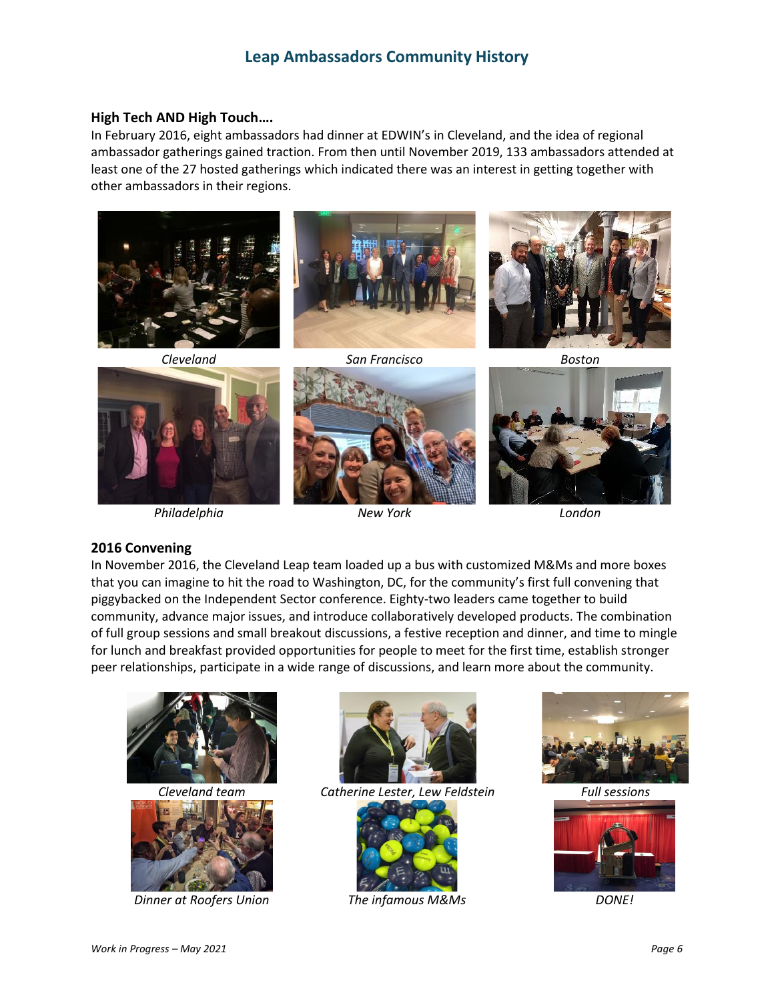#### **High Tech AND High Touch….**

In February 2016, eight ambassadors had dinner at EDWIN's in Cleveland, and the idea of regional ambassador gatherings gained traction. From then until November 2019, 133 ambassadors attended at least one of the 27 hosted gatherings which indicated there was an interest in getting together with other ambassadors in their regions.



*Philadelphia New York London*

#### **2016 Convening**

In November 2016, the Cleveland Leap team loaded up a bus with customized M&Ms and more boxes that you can imagine to hit the road to Washington, DC, for the community's first full convening that piggybacked on the Independent Sector conference. Eighty-two leaders came together to build community, advance major issues, and introduce collaboratively developed products. The combination of full group sessions and small breakout discussions, a festive reception and dinner, and time to mingle for lunch and breakfast provided opportunities for people to meet for the first time, establish stronger peer relationships, participate in a wide range of discussions, and learn more about the community.





*Dinner at Roofers Union The infamous M&Ms DONE!*



*Cleveland team Catherine Lester, Lew Feldstein Full sessions*





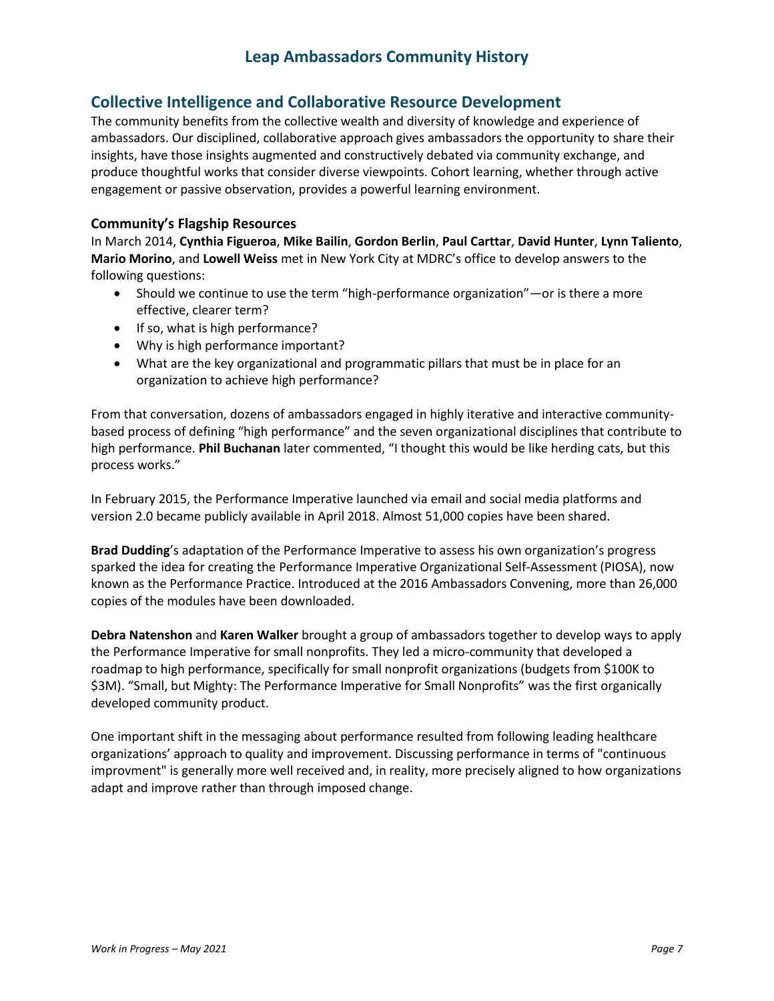### **Collective Intelligence and Collaborative Resource Development**

The community benefits from the collective wealth and diversity of knowledge and experience of ambassadors. Our disciplined, collaborative approach gives ambassadors the opportunity to share their insights, have those insights augmented and constructively debated via community exchange, and produce thoughtful works that consider diverse viewpoints. Cohort learning, whether through active engagement or passive observation, provides a powerful learning environment.

#### **Community's Flagship Resources**

In March 2014, **Cynthia Figueroa**, **Mike Bailin**, **Gordon Berlin**, **Paul Carttar**, **David Hunter**, **Lynn Taliento**, **Mario Morino**, and **Lowell Weiss** met in New York City at MDRC's office to develop answers to the following questions:

- Should we continue to use the term "high-performance organization"—or is there a more effective, clearer term?
- If so, what is high performance?
- Why is high performance important?
- What are the key organizational and programmatic pillars that must be in place for an organization to achieve high performance?

From that conversation, dozens of ambassadors engaged in highly iterative and interactive communitybased process of defining "high performance" and the seven organizational disciplines that contribute to high performance. **Phil Buchanan** later commented, "I thought this would be like herding cats, but this process works."

In February 2015, the Performance Imperative launched via email and social media platforms and version 2.0 became publicly available in April 2018. Almost 51,000 copies have been shared.

**Brad Dudding**'s adaptation of the Performance Imperative to assess his own organization's progress sparked the idea for creating the Performance Imperative Organizational Self-Assessment (PIOSA), now known as the Performance Practice. Introduced at the 2016 Ambassadors Convening, more than 26,000 copies of the modules have been downloaded.

**Debra Natenshon** and **Karen Walker** brought a group of ambassadors together to develop ways to apply the Performance Imperative for small nonprofits. They led a micro-community that developed a roadmap to high performance, specifically for small nonprofit organizations (budgets from \$100K to \$3M). "Small, but Mighty: The Performance Imperative for Small Nonprofits" was the first organically developed community product.

One important shift in the messaging about performance resulted from following leading healthcare organizations' approach to quality and improvement. Discussing performance in terms of "continuous improvment" is generally more well received and, in reality, more precisely aligned to how organizations adapt and improve rather than through imposed change.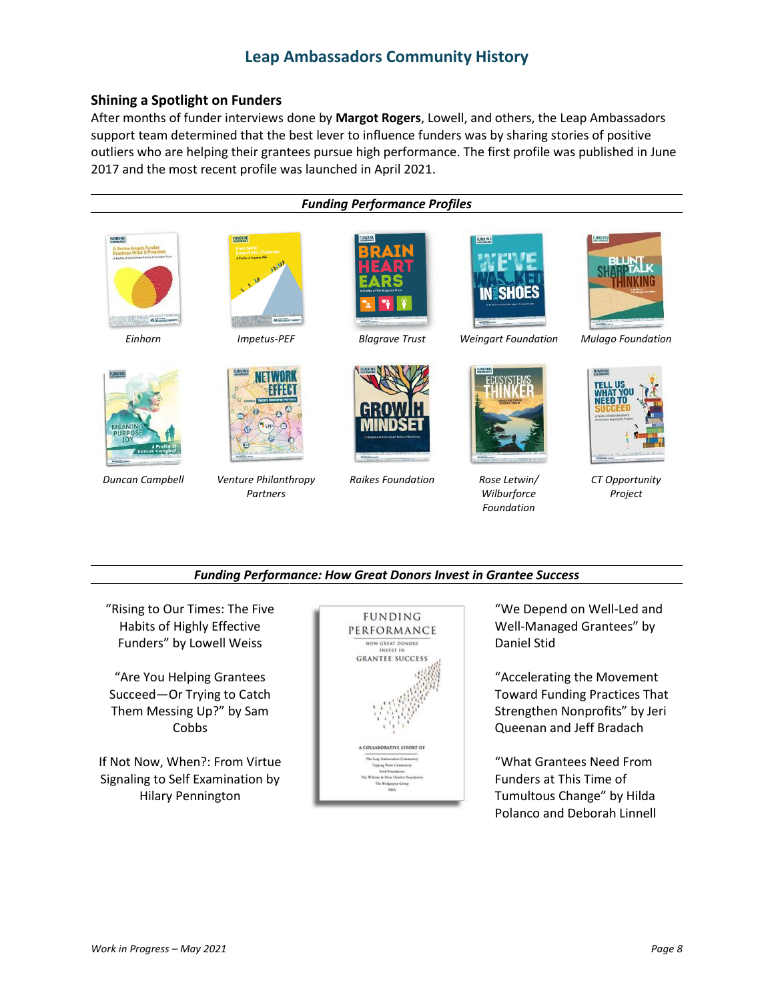#### **Shining a Spotlight on Funders**

After months of funder interviews done by **Margot Rogers**, Lowell, and others, the Leap Ambassadors support team determined that the best lever to influence funders was by sharing stories of positive outliers who are helping their grantees pursue high performance. The first profile was published in June 2017 and the most recent profile was launched in April 2021.



#### *Funding Performance: How Great Donors Invest in Grantee Success*

"Rising to Our Times: The Five Habits of Highly Effective Funders" by Lowell Weiss

"Are You Helping Grantees Succeed—Or Trying to Catch Them Messing Up?" by Sam Cobbs

If Not Now, When?: From Virtue Signaling to Self Examination by Hilary Pennington



"We Depend on Well-Led and Well-Managed Grantees" by Daniel Stid

"Accelerating the Movement Toward Funding Practices That Strengthen Nonprofits" by Jeri Queenan and Jeff Bradach

"What Grantees Need From Funders at This Time of Tumultous Change" by Hilda Polanco and Deborah Linnell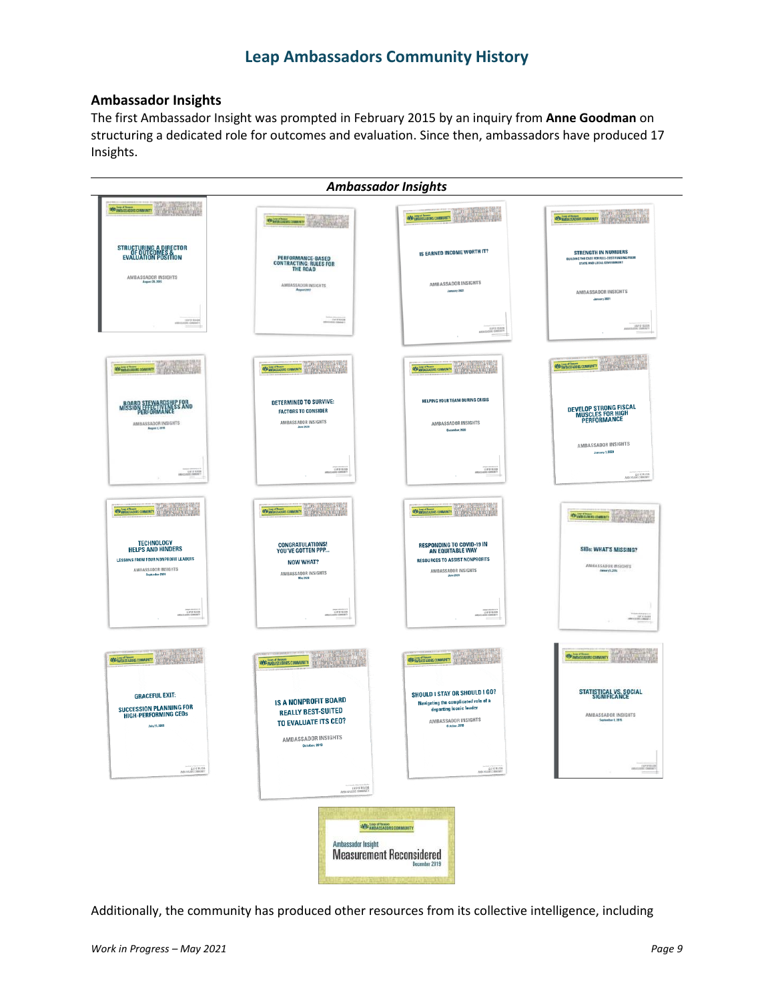### **Ambassador Insights**

The first Ambassador Insight was prompted in February 2015 by an inquiry from **Anne Goodman** on structuring a dedicated role for outcomes and evaluation. Since then, ambassadors have produced 17 Insights.

| <b>Ambassador Insights</b>                                                                                                           |                                                                                                 |                                                                                                                                          |                                                                                                                 |
|--------------------------------------------------------------------------------------------------------------------------------------|-------------------------------------------------------------------------------------------------|------------------------------------------------------------------------------------------------------------------------------------------|-----------------------------------------------------------------------------------------------------------------|
| <b>REPARATIONS COMMENTS</b>                                                                                                          | Washington over 1975 and 1989                                                                   | WE WANTED BOOM COMMUNITY                                                                                                                 | <b>WE LIKE SERIORS COMMUNITY THE REAL PROPERTY AND REAL PROPERTY</b>                                            |
| STRUCTURING A DIRECTOR<br>EVALUATION POSITION                                                                                        | <b>PERFORMANCE-BASED<br/>CONTRACTING: RULES FOR<br/>THE ROAD</b>                                | <b>IS EARNED INCOME WORTH IT?</b>                                                                                                        | <b>STRENGTH IN NUMBERS</b><br>BUILDING THE CASE FOR FULL-COST FUNDING FROM<br><b>STATE AND LOCAL GOVERNMENT</b> |
| AMBASSADOR INSIGHTS<br>August 28, 2015                                                                                               | $\begin{array}{c} \text{AMBASSADOR INFIGHTS} \\ \text{Augnet 2912} \end{array}$                 | AMBASSADOR INSIGHTS<br>January 2021                                                                                                      | AMBASSADOR INSIGHTS<br>January 2021                                                                             |
| LEAF OF RISE<br>NORTHERN DIRECTOR                                                                                                    | 10/15/09                                                                                        | LEAP OF HUASO                                                                                                                            | <b>ENF OF REGENER</b><br>TTWOMASTIC 20010ADSET                                                                  |
| Williamscover of the state of                                                                                                        | Williamson property                                                                             | <b>Buni</b><br>Williams concert (1999)<br><b>And The</b>                                                                                 | <b>Mayon</b><br>说话<br><b>NOW AND A PORTORS COMMUNITY</b> 19 (1999) 19 (1999)                                    |
| <b>IP FOR<br/>ESS AND</b><br>BOARD STEPCTIVENE<br>AMBASSADOR INSIGHTS<br>August 2, 2018                                              | <b>DETERMINED TO SURVIVE:</b><br><b>FACTORS TO CONSIDER</b><br>AMBASSADOR INSIGHTS<br>June 2620 | <b>HELPING YOUR TEAM DURING CRISIS</b><br>AMBASSADOR INSIGHTS<br>December, 2020                                                          | DEVELOP STRONG FISCAL<br>MUSCLES FOR HIGH<br>PERFORMANCE                                                        |
| ABLICATE DEMAND<br>×                                                                                                                 | LE & BOOK                                                                                       | LEAP OF RADIAL                                                                                                                           | AMBASSADOR INSIGHTS<br>January 7, 2020<br>LEAD OF HEADS                                                         |
| Windows owner of the America                                                                                                         | Winkinsoner Territorie                                                                          | Williamson The County                                                                                                                    | <b>Grandmissionary</b>                                                                                          |
| <b>TECHNOLOGY</b><br><b>HELPS AND HINDERS</b><br><b>LESSONS FROM FOUR NONPROFIT LEADERS</b><br>AMBASSADOR INSIGHTS<br>September 2020 | CONGRATULATIONS!<br>YOU'VE GOTTEN PPP<br><b>NOW WHAT?</b><br>AMBASSADOR INSIGHTS<br>May 2020    | <b>RESPONDING TO COVID-19 IN</b><br>AN EQUITABLE WAY<br><b>RESOURCES TO ASSIST NONPROFITS</b><br>AMBASSADOR INSIGHTS<br>June 2020        | <b>SIBs: WHAT'S MISSING?</b><br>AMBASSADOR WISIGHTS<br>Janey5,20%                                               |
| LEAP OF REASH                                                                                                                        | LE & NASH                                                                                       | LEAN OF BLOCKS                                                                                                                           | THE R. P. LEWIS CO., LANSING                                                                                    |
| <b>ROP AMERISKADORS COMMUNITY</b>                                                                                                    | <b>SLUTH</b><br><b>WE AVENUE COMMINITY THE COMPLETE AND RESERVED</b>                            | πm<br><b>REGIONAL LAND OF PROBABLE COMMUNITY</b><br>浅的空间                                                                                 | Ш'n<br><b>EXPANSIONS COMMUNITY</b>                                                                              |
| <b>GRACEFUL EXIT:</b><br><b>SUCCESSION PLANNING FOR</b><br><b>HIGH-PERFORMING CEOS</b><br>July 25, 2019                              | <b>IS A NONPROFIT BOARD</b><br><b>REALLY BEST-SUITED</b><br>TO EVALUATE ITS CEO?                | SHOULD I STAY OR SHOULD I GO?<br>Navigating the complicated role of a<br>departing iconic leader<br>AMBASSADOR INSIGHTS<br>October, 2015 | STATISTICAL VS. SOCIAL<br>SIGNIFICANCE<br>AMBASSADOR INSIGHTS<br>ber 8, 2015                                    |
| ELEP OF READER<br>THERE COMMUNITY                                                                                                    | AMBASSADOR INSIGHTS<br>October, 2019<br>LEAP OF READER                                          | ALCOHOL: 1979<br>THERE IS CONSULTED IN                                                                                                   | 107153                                                                                                          |
| <b>REGISTERED E PRODUCTORS COMMUNITY</b><br>Ambassador Insight<br><b>Measurement Reconsidered</b><br><b>December 2019</b>            |                                                                                                 |                                                                                                                                          |                                                                                                                 |

Additionally, the community has produced other resources from its collective intelligence, including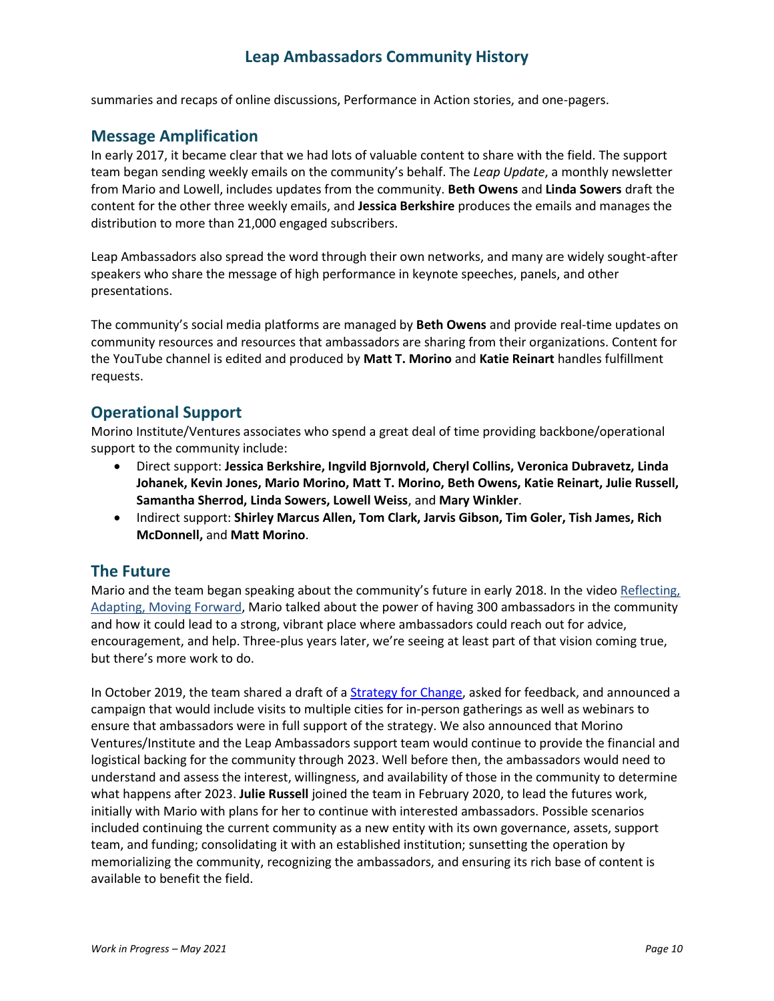summaries and recaps of online discussions, Performance in Action stories, and one-pagers.

### **Message Amplification**

In early 2017, it became clear that we had lots of valuable content to share with the field. The support team began sending weekly emails on the community's behalf. The *Leap Update*, a monthly newsletter from Mario and Lowell, includes updates from the community. **Beth Owens** and **Linda Sowers** draft the content for the other three weekly emails, and **Jessica Berkshire** produces the emails and manages the distribution to more than 21,000 engaged subscribers.

Leap Ambassadors also spread the word through their own networks, and many are widely sought-after speakers who share the message of high performance in keynote speeches, panels, and other presentations.

The community's social media platforms are managed by **Beth Owens** and provide real-time updates on community resources and resources that ambassadors are sharing from their organizations. Content for the YouTube channel is edited and produced by **Matt T. Morino** and **Katie Reinart** handles fulfillment requests.

### **Operational Support**

Morino Institute/Ventures associates who spend a great deal of time providing backbone/operational support to the community include:

- Direct support: **Jessica Berkshire, Ingvild Bjornvold, Cheryl Collins, Veronica Dubravetz, Linda Johanek, Kevin Jones, Mario Morino, Matt T. Morino, Beth Owens, Katie Reinart, Julie Russell, Samantha Sherrod, Linda Sowers, Lowell Weiss**, and **Mary Winkler**.
- Indirect support: **Shirley Marcus Allen, Tom Clark, Jarvis Gibson, Tim Goler, Tish James, Rich McDonnell,** and **Matt Morino**.

#### **The Future**

Mario and the team began speaking about the community's future in early 2018. In the video [Reflecting,](https://youtu.be/foErdRl7eP8) [Adapting,](https://youtu.be/foErdRl7eP8) Moving Forward, Mario talked about the power of having 300 ambassadors in the community and how it could lead to a strong, vibrant place where ambassadors could reach out for advice, encouragement, and help. Three-plus years later, we're seeing at least part of that vision coming true, but there's more work to do.

In October 2019, the team shared a draft of a [Strategy](https://leapambassadors.org/?wpdmdl=19526) for Change, asked for feedback, and announced a campaign that would include visits to multiple cities for in-person gatherings as well as webinars to ensure that ambassadors were in full support of the strategy. We also announced that Morino Ventures/Institute and the Leap Ambassadors support team would continue to provide the financial and logistical backing for the community through 2023. Well before then, the ambassadors would need to understand and assess the interest, willingness, and availability of those in the community to determine what happens after 2023. **Julie Russell** joined the team in February 2020, to lead the futures work, initially with Mario with plans for her to continue with interested ambassadors. Possible scenarios included continuing the current community as a new entity with its own governance, assets, support team, and funding; consolidating it with an established institution; sunsetting the operation by memorializing the community, recognizing the ambassadors, and ensuring its rich base of content is available to benefit the field.